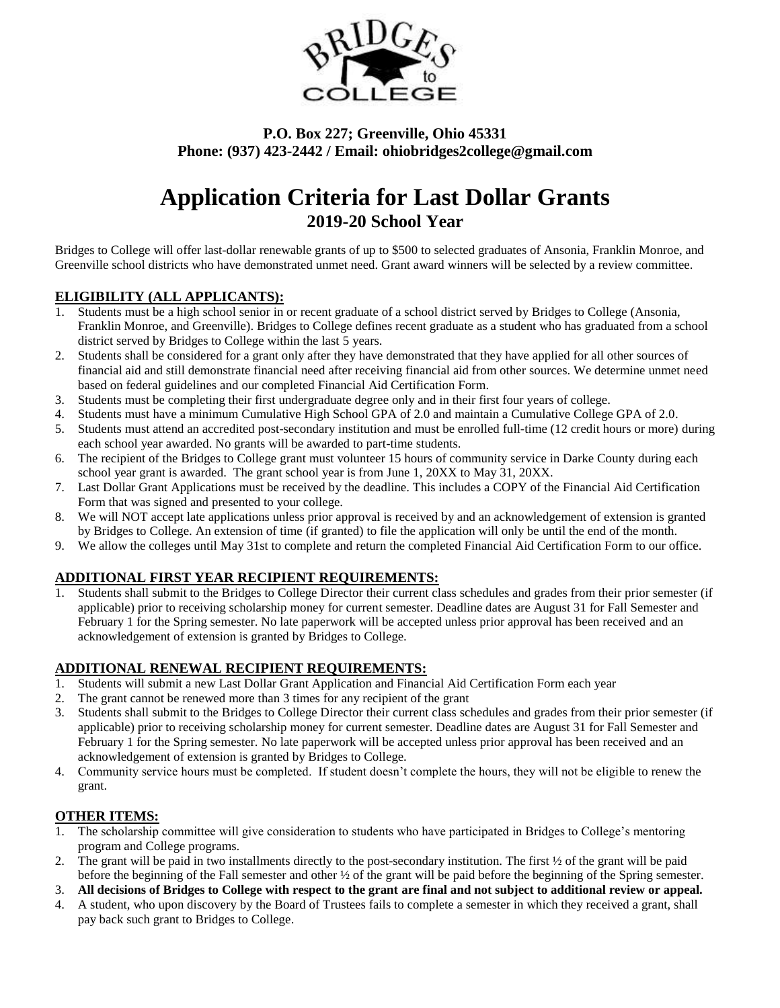

### **P.O. Box 227; Greenville, Ohio 45331 Phone: (937) 423-2442 / Email: ohiobridges2college@gmail.com**

### **Application Criteria for Last Dollar Grants 2019-20 School Year**

Bridges to College will offer last-dollar renewable grants of up to \$500 to selected graduates of Ansonia, Franklin Monroe, and Greenville school districts who have demonstrated unmet need. Grant award winners will be selected by a review committee.

### **ELIGIBILITY (ALL APPLICANTS):**

- 1. Students must be a high school senior in or recent graduate of a school district served by Bridges to College (Ansonia, Franklin Monroe, and Greenville). Bridges to College defines recent graduate as a student who has graduated from a school district served by Bridges to College within the last 5 years.
- 2. Students shall be considered for a grant only after they have demonstrated that they have applied for all other sources of financial aid and still demonstrate financial need after receiving financial aid from other sources. We determine unmet need based on federal guidelines and our completed Financial Aid Certification Form.
- 3. Students must be completing their first undergraduate degree only and in their first four years of college.
- 4. Students must have a minimum Cumulative High School GPA of 2.0 and maintain a Cumulative College GPA of 2.0.
- 5. Students must attend an accredited post-secondary institution and must be enrolled full-time (12 credit hours or more) during each school year awarded. No grants will be awarded to part-time students.
- 6. The recipient of the Bridges to College grant must volunteer 15 hours of community service in Darke County during each school year grant is awarded. The grant school year is from June 1, 20XX to May 31, 20XX.
- 7. Last Dollar Grant Applications must be received by the deadline. This includes a COPY of the Financial Aid Certification Form that was signed and presented to your college.
- 8. We will NOT accept late applications unless prior approval is received by and an acknowledgement of extension is granted by Bridges to College. An extension of time (if granted) to file the application will only be until the end of the month.
- 9. We allow the colleges until May 31st to complete and return the completed Financial Aid Certification Form to our office.

### **ADDITIONAL FIRST YEAR RECIPIENT REQUIREMENTS:**

1. Students shall submit to the Bridges to College Director their current class schedules and grades from their prior semester (if applicable) prior to receiving scholarship money for current semester. Deadline dates are August 31 for Fall Semester and February 1 for the Spring semester. No late paperwork will be accepted unless prior approval has been received and an acknowledgement of extension is granted by Bridges to College.

### **ADDITIONAL RENEWAL RECIPIENT REQUIREMENTS:**

- 1. Students will submit a new Last Dollar Grant Application and Financial Aid Certification Form each year
- 2. The grant cannot be renewed more than 3 times for any recipient of the grant
- 3. Students shall submit to the Bridges to College Director their current class schedules and grades from their prior semester (if applicable) prior to receiving scholarship money for current semester. Deadline dates are August 31 for Fall Semester and February 1 for the Spring semester. No late paperwork will be accepted unless prior approval has been received and an acknowledgement of extension is granted by Bridges to College.
- 4. Community service hours must be completed. If student doesn't complete the hours, they will not be eligible to renew the grant.

### **OTHER ITEMS:**

- 1. The scholarship committee will give consideration to students who have participated in Bridges to College's mentoring program and College programs.
- 2. The grant will be paid in two installments directly to the post-secondary institution. The first  $\frac{1}{2}$  of the grant will be paid before the beginning of the Fall semester and other ½ of the grant will be paid before the beginning of the Spring semester.
- 3. **All decisions of Bridges to College with respect to the grant are final and not subject to additional review or appeal.**
- 4. A student, who upon discovery by the Board of Trustees fails to complete a semester in which they received a grant, shall pay back such grant to Bridges to College.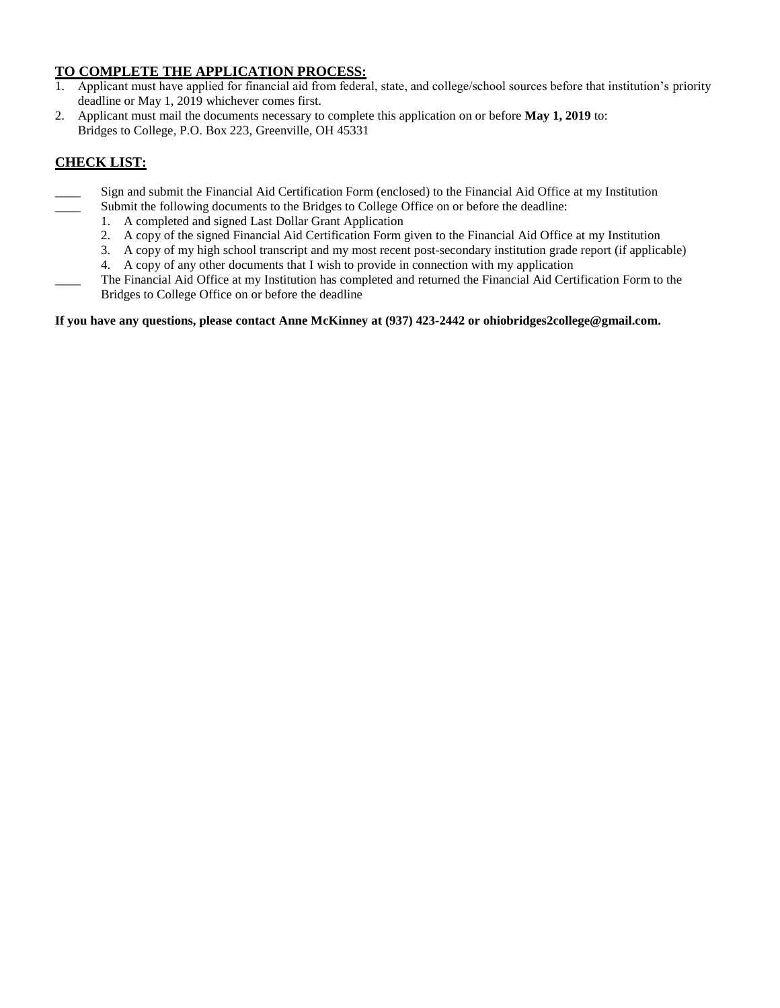### **TO COMPLETE THE APPLICATION PROCESS:**

- 1. Applicant must have applied for financial aid from federal, state, and college/school sources before that institution's priority deadline or May 1, 2019 whichever comes first.
- 2. Applicant must mail the documents necessary to complete this application on or before **May 1, 2019** to: Bridges to College, P.O. Box 223, Greenville, OH 45331

### **CHECK LIST:**

- \_\_\_\_ Sign and submit the Financial Aid Certification Form (enclosed) to the Financial Aid Office at my Institution Submit the following documents to the Bridges to College Office on or before the deadline:
	- 1. A completed and signed Last Dollar Grant Application
		- 2. A copy of the signed Financial Aid Certification Form given to the Financial Aid Office at my Institution
	- 3. A copy of my high school transcript and my most recent post-secondary institution grade report (if applicable)
	- 4. A copy of any other documents that I wish to provide in connection with my application
- \_\_\_\_ The Financial Aid Office at my Institution has completed and returned the Financial Aid Certification Form to the Bridges to College Office on or before the deadline

### **If you have any questions, please contact Anne McKinney at (937) 423-2442 or ohiobridges2college@gmail.com.**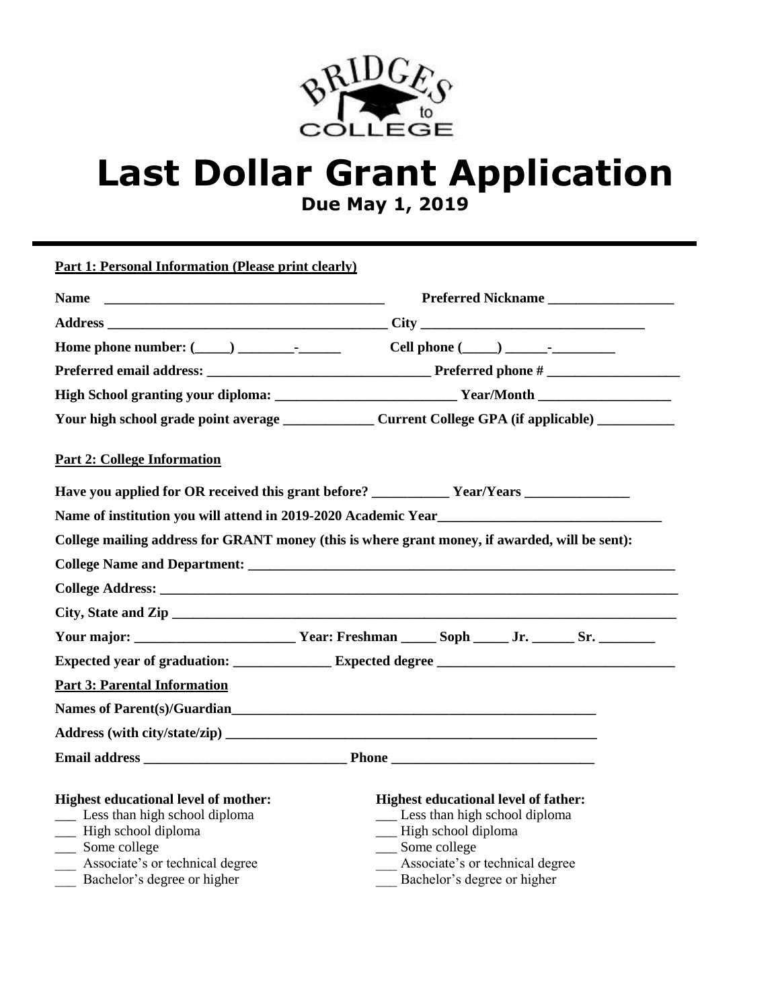

# **Last Dollar Grant Application**

**Due May 1, 2019**

**Part 1: Personal Information (Please print clearly)**

| Preferred Nickname<br><b>Name</b>                                                                                                                                                             |                                                                                                                                                                                              |  |  |  |  |  |
|-----------------------------------------------------------------------------------------------------------------------------------------------------------------------------------------------|----------------------------------------------------------------------------------------------------------------------------------------------------------------------------------------------|--|--|--|--|--|
|                                                                                                                                                                                               |                                                                                                                                                                                              |  |  |  |  |  |
|                                                                                                                                                                                               |                                                                                                                                                                                              |  |  |  |  |  |
|                                                                                                                                                                                               |                                                                                                                                                                                              |  |  |  |  |  |
|                                                                                                                                                                                               |                                                                                                                                                                                              |  |  |  |  |  |
| Your high school grade point average ___________________ Current College GPA (if applicable) ____________                                                                                     |                                                                                                                                                                                              |  |  |  |  |  |
| <b>Part 2: College Information</b>                                                                                                                                                            |                                                                                                                                                                                              |  |  |  |  |  |
|                                                                                                                                                                                               |                                                                                                                                                                                              |  |  |  |  |  |
|                                                                                                                                                                                               |                                                                                                                                                                                              |  |  |  |  |  |
| College mailing address for GRANT money (this is where grant money, if awarded, will be sent):                                                                                                |                                                                                                                                                                                              |  |  |  |  |  |
|                                                                                                                                                                                               |                                                                                                                                                                                              |  |  |  |  |  |
|                                                                                                                                                                                               |                                                                                                                                                                                              |  |  |  |  |  |
|                                                                                                                                                                                               |                                                                                                                                                                                              |  |  |  |  |  |
|                                                                                                                                                                                               | Your major: __________________________Year: Freshman ______Soph ______Jr. _______Sr. _______________                                                                                         |  |  |  |  |  |
|                                                                                                                                                                                               |                                                                                                                                                                                              |  |  |  |  |  |
| <b>Part 3: Parental Information</b>                                                                                                                                                           |                                                                                                                                                                                              |  |  |  |  |  |
| Names of Parent(s)/Guardian                                                                                                                                                                   |                                                                                                                                                                                              |  |  |  |  |  |
| Address (with city/state/zip)                                                                                                                                                                 |                                                                                                                                                                                              |  |  |  |  |  |
|                                                                                                                                                                                               |                                                                                                                                                                                              |  |  |  |  |  |
| <b>Highest educational level of mother:</b><br>__ Less than high school diploma<br>- High school diploma<br>__ Some college<br>Associate's or technical degree<br>Bachelor's degree or higher | <b>Highest educational level of father:</b><br>__ Less than high school diploma<br>-High school diploma<br>__ Some college<br>Associate's or technical degree<br>Bachelor's degree or higher |  |  |  |  |  |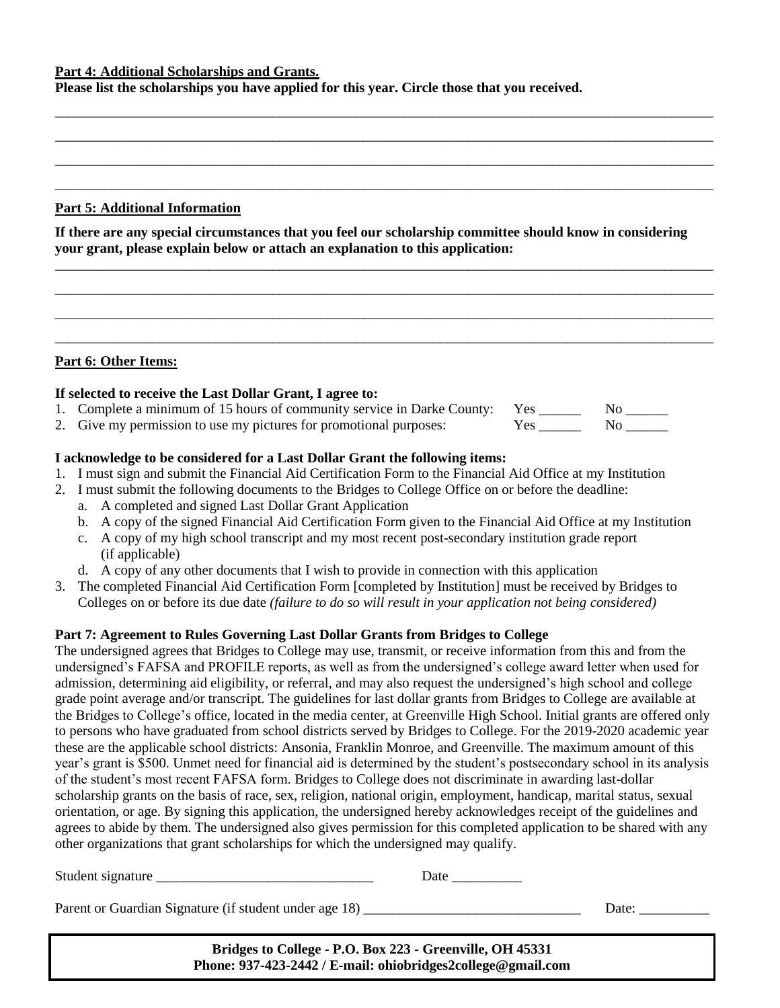### **Part 4: Additional Scholarships and Grants.**

**Please list the scholarships you have applied for this year. Circle those that you received.**

### **Part 5: Additional Information**

**If there are any special circumstances that you feel our scholarship committee should know in considering your grant, please explain below or attach an explanation to this application:**

\_\_\_\_\_\_\_\_\_\_\_\_\_\_\_\_\_\_\_\_\_\_\_\_\_\_\_\_\_\_\_\_\_\_\_\_\_\_\_\_\_\_\_\_\_\_\_\_\_\_\_\_\_\_\_\_\_\_\_\_\_\_\_\_\_\_\_\_\_\_\_\_\_\_\_\_\_\_\_\_\_\_\_\_\_\_\_\_\_\_\_\_\_\_ \_\_\_\_\_\_\_\_\_\_\_\_\_\_\_\_\_\_\_\_\_\_\_\_\_\_\_\_\_\_\_\_\_\_\_\_\_\_\_\_\_\_\_\_\_\_\_\_\_\_\_\_\_\_\_\_\_\_\_\_\_\_\_\_\_\_\_\_\_\_\_\_\_\_\_\_\_\_\_\_\_\_\_\_\_\_\_\_\_\_\_\_\_\_ \_\_\_\_\_\_\_\_\_\_\_\_\_\_\_\_\_\_\_\_\_\_\_\_\_\_\_\_\_\_\_\_\_\_\_\_\_\_\_\_\_\_\_\_\_\_\_\_\_\_\_\_\_\_\_\_\_\_\_\_\_\_\_\_\_\_\_\_\_\_\_\_\_\_\_\_\_\_\_\_\_\_\_\_\_\_\_\_\_\_\_\_\_\_ \_\_\_\_\_\_\_\_\_\_\_\_\_\_\_\_\_\_\_\_\_\_\_\_\_\_\_\_\_\_\_\_\_\_\_\_\_\_\_\_\_\_\_\_\_\_\_\_\_\_\_\_\_\_\_\_\_\_\_\_\_\_\_\_\_\_\_\_\_\_\_\_\_\_\_\_\_\_\_\_\_\_\_\_\_\_\_\_\_\_\_\_\_\_

\_\_\_\_\_\_\_\_\_\_\_\_\_\_\_\_\_\_\_\_\_\_\_\_\_\_\_\_\_\_\_\_\_\_\_\_\_\_\_\_\_\_\_\_\_\_\_\_\_\_\_\_\_\_\_\_\_\_\_\_\_\_\_\_\_\_\_\_\_\_\_\_\_\_\_\_\_\_\_\_\_\_\_\_\_\_\_\_\_\_\_\_\_\_ \_\_\_\_\_\_\_\_\_\_\_\_\_\_\_\_\_\_\_\_\_\_\_\_\_\_\_\_\_\_\_\_\_\_\_\_\_\_\_\_\_\_\_\_\_\_\_\_\_\_\_\_\_\_\_\_\_\_\_\_\_\_\_\_\_\_\_\_\_\_\_\_\_\_\_\_\_\_\_\_\_\_\_\_\_\_\_\_\_\_\_\_\_\_ \_\_\_\_\_\_\_\_\_\_\_\_\_\_\_\_\_\_\_\_\_\_\_\_\_\_\_\_\_\_\_\_\_\_\_\_\_\_\_\_\_\_\_\_\_\_\_\_\_\_\_\_\_\_\_\_\_\_\_\_\_\_\_\_\_\_\_\_\_\_\_\_\_\_\_\_\_\_\_\_\_\_\_\_\_\_\_\_\_\_\_\_\_\_ \_\_\_\_\_\_\_\_\_\_\_\_\_\_\_\_\_\_\_\_\_\_\_\_\_\_\_\_\_\_\_\_\_\_\_\_\_\_\_\_\_\_\_\_\_\_\_\_\_\_\_\_\_\_\_\_\_\_\_\_\_\_\_\_\_\_\_\_\_\_\_\_\_\_\_\_\_\_\_\_\_\_\_\_\_\_\_\_\_\_\_\_\_\_

### **Part 6: Other Items:**

### **If selected to receive the Last Dollar Grant, I agree to:**

- 1. Complete a minimum of 15 hours of community service in Darke County: Yes \_\_\_\_\_\_\_\_ No \_\_\_\_\_\_
- 2. Give my permission to use my pictures for promotional purposes: Yes \_\_\_\_\_\_\_\_ No \_\_\_\_\_\_

### **I acknowledge to be considered for a Last Dollar Grant the following items:**

- 1. I must sign and submit the Financial Aid Certification Form to the Financial Aid Office at my Institution
- 2. I must submit the following documents to the Bridges to College Office on or before the deadline:
	- a. A completed and signed Last Dollar Grant Application
	- b. A copy of the signed Financial Aid Certification Form given to the Financial Aid Office at my Institution
	- c. A copy of my high school transcript and my most recent post-secondary institution grade report (if applicable)
	- d. A copy of any other documents that I wish to provide in connection with this application
- 3. The completed Financial Aid Certification Form [completed by Institution] must be received by Bridges to Colleges on or before its due date *(failure to do so will result in your application not being considered)*

### **Part 7: Agreement to Rules Governing Last Dollar Grants from Bridges to College**

The undersigned agrees that Bridges to College may use, transmit, or receive information from this and from the undersigned's FAFSA and PROFILE reports, as well as from the undersigned's college award letter when used for admission, determining aid eligibility, or referral, and may also request the undersigned's high school and college grade point average and/or transcript. The guidelines for last dollar grants from Bridges to College are available at the Bridges to College's office, located in the media center, at Greenville High School. Initial grants are offered only to persons who have graduated from school districts served by Bridges to College. For the 2019-2020 academic year these are the applicable school districts: Ansonia, Franklin Monroe, and Greenville. The maximum amount of this year's grant is \$500. Unmet need for financial aid is determined by the student's postsecondary school in its analysis of the student's most recent FAFSA form. Bridges to College does not discriminate in awarding last-dollar scholarship grants on the basis of race, sex, religion, national origin, employment, handicap, marital status, sexual orientation, or age. By signing this application, the undersigned hereby acknowledges receipt of the guidelines and agrees to abide by them. The undersigned also gives permission for this completed application to be shared with any other organizations that grant scholarships for which the undersigned may qualify.

Student signature \_\_\_\_\_\_\_\_\_\_\_\_\_\_\_\_\_\_\_\_\_\_\_\_\_\_\_\_\_\_\_ Date \_\_\_\_\_\_\_\_\_\_

Parent or Guardian Signature (if student under age 18) \_\_\_\_\_\_\_\_\_\_\_\_\_\_\_\_\_\_\_\_\_\_\_\_\_\_\_\_\_\_\_ Date: \_\_\_\_\_\_\_\_\_\_

**Bridges to College - P.O. Box 223 - Greenville, OH 45331 Phone: 937-423-2442 / E-mail: ohiobridges2college@gmail.com**